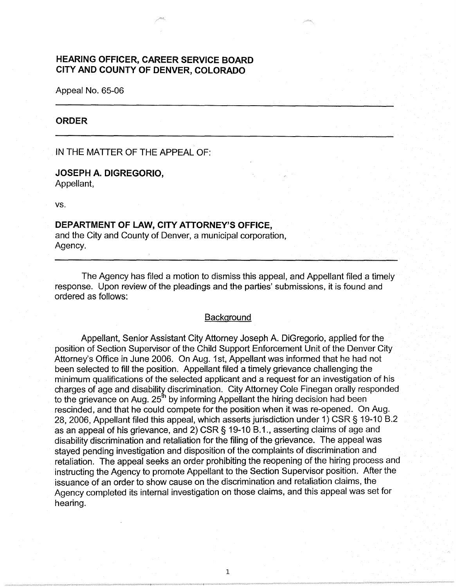# **HEARING OFFICER, CAREER SERVICE BOARD CITY AND COUNTY OF DENVER, COLORADO**

Appeal No. 65-06

### **ORDER**

IN THE MATTER OF THE APPEAL OF:

## **JOSEPH A. DIGREGORIO,**

Appellant,

vs.

## **DEPARTMENT OF LAW, CITY ATTORNEY'S OFFICE,**

and the City and County of Denver, a municipal corporation, Agency.

The Agency has filed a motion to dismiss this appeal, and Appellant filed a timely response. Upon review of the pleadings and the parties' submissions, it is found and ordered as follows:

### **Background**

Appellant, Senior Assistant City Attorney Joseph A. DiGregorio, applied for the position of Section Supervisor of the Child Support Enforcement Unit of the Denver City Attorney's Office in June 2006. On Aug. 1st, Appellant was informed that he had not been selected to fill the position. Appellant filed a timely grievance challenging the minimum qualifications of the selected applicant and a request for an investigation of his charges of age and disability discrimination. City Attorney Cole Finegan orally responded to the grievance on Aug.  $25<sup>th</sup>$  by informing Appellant the hiring decision had been rescinded, and that he could compete for the position when it was re-opened. On Aug. 28, 2006, Appellant filed this appeal, which asserts jurisdiction under 1) CSR§ 19-10 B.2 as an appeal of his grievance, and 2) CSR § 19-10 B.1., asserting claims of age and disability discrimination and retaliation for the filing of the grievance. The appeal was stayed pending investigation and disposition of the complaints of discrimination and retaliation. The appeal seeks an order prohibiting the reopening of the hiring process and instructing the Agency to promote Appellant to the Section Supervisor position. After the issuance of an order to show cause on the discrimination and retaliation claims, the Agency completed its internal investigation on those claims, and this appeal was set for hearing.

1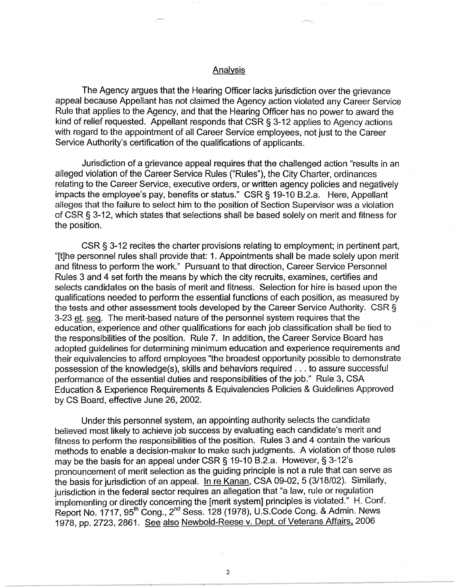## **Analysis**

The Agency argues that the Hearing Officer lacks jurisdiction over the grievance appeal because Appellant has not claimed the Agency action violated any Career Service Rule that applies to the Agency, and that the Hearing Officer has no power to award the kind of relief requested. Appellant responds that CSR§ 3-12 applies to Agency actions with regard to the appointment of all Career Service employees, not just to the Career Service Authority's certification of the qualifications of applicants.

Jurisdiction of a grievance appeal requires that the challenged action "results in an alleged violation of the Career Service Rules ("Rules"), the City Charter, ordinances relating to the Career Service, executive orders, or written agency policies and negatively impacts the employee's pay, benefits or status." CSR§ 19-10 B.2.a. Here, Appellant alleges that the failure to select him to the position of Section Supervisor was a violation of CSR§ 3-12, which states that selections shall be based solely on merit and fitness for the position.

CSR§ 3-12 recites the charter provisions relating to employment; in pertinent part, "[t]he personnel rules shall provide that: 1. Appointments shall be made solely upon merit and fitness to perform the work." Pursuant to that direction, Career Service Personnel Rules 3 and 4 set forth the means by which the city recruits, examines, certifies and selects candidates on the basis of merit and fitness. Selection for hire is based upon the qualifications needed to perform the essential functions of each position, as measured by the tests and other assessment tools developed by the Career Service Authority. CSR  $\S$ 3-23 et. seq. The merit-based nature of the personnel system requires that the education, experience and other qualifications for each job classification shall be tied to the responsibilities of the position. Rule 7. In addition, the Career Service Board has adopted guidelines for determining minimum education and experience requirements and their equivalencies to afford employees "the broadest opportunity possible to demonstrate possession of the knowledge(s), skills and behaviors required ... to assure successful performance of the essential duties and responsibilities of the job." Rule 3, CSA Education & Experience Requirements & Equivalencies Policies & Guidelines Approved by CS Board, effective June 26, 2002.

Under this personnel system, an appointing authority selects the candidate believed most likely to achieve job success by evaluating each candidate's merit and fitness to perform the responsibilities of the position. Rules 3 and 4 contain the various methods to enable a decision-maker to make such judgments. A violation of those rules may be the basis for an appeal under CSR§ 19-10 B.2.a. However,§ 3-12's pronouncement of merit selection as the guiding principle is not a rule that can serve as the basis for jurisdiction of an appeal. In re Kanan, CSA 09-02, 5 (3/18/02). Similarly, jurisdiction in the federal sector requires an allegation that "a law, rule or regulation implementing or directly concerning the [merit system] principles is violated." H. Conf. Report No. 1717, 95<sup>th</sup> Cong., 2<sup>nd</sup> Sess. 128 (1978), U.S.Code Cong. & Admin. News 1978, pp. 2723, 2861. See also Newbold-Reese v. Dept. of Veterans Affairs, 2006

2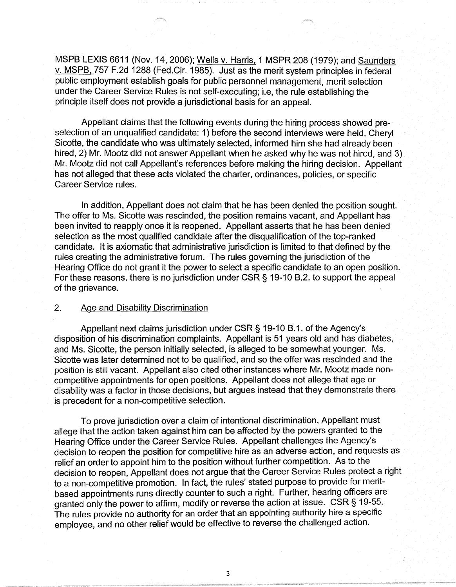MSPB LEXIS 6611 (Nov. 14, 2006); Wells v. Harris, 1 MSPR 208 (1979); and Saunders v. MSPB. 757 F.2d 1288 (Fed.Cir. 1985). Just as the merit system principles in federal public employment establish goals for public personnel management, merit selection under the Career Service Rules is not self-executing; i.e, the rule establishing the principle itself does not provide a jurisdictional basis for an appeal.

Appellant claims that the following events during the hiring process showed preselection of an unqualified candidate: 1) before the second interviews were held, Cheryl Sicotte, the candidate who was ultimately selected, informed him she had already been hired, 2) Mr. Mootz did not answer Appellant when he asked why he was not hired, and 3) Mr. Mootz did not call Appellant's references before making the hiring decision. Appellant has not alleged that these acts violated the charter, ordinances, policies, or specific Career Service rules.

In addition, Appellant does not claim that he has been denied the position sought. The offer to Ms. Sicotte was rescinded, the position remains vacant, and Appellant has been invited to reapply once it is reopened. Appellant asserts that he has been denied selection as the most qualified candidate after the disqualification of the top-ranked candidate. It is axiomatic that administrative jurisdiction is limited to that defined by the rules creating the administrative forum. The rules governing the jurisdiction of the Hearing Office do not grant it the power to select a specific candidate to an open position. For these reasons, there is no jurisdiction under CSR § 19-10 B.2. to support the appeal of the grievance.

#### 2. Age and Disability Discrimination

Appellant next claims jurisdiction under CSR § 19-10 B.1. of the Agency's disposition of his discrimination complaints. Appellant is 51 years old and has diabetes, and Ms. Sicotte, the person initially selected, is alleged to be somewhat younger. Ms. Sicotte was later determined not to be qualified, and so the offer was rescinded and the position is still vacant. Appellant also cited other instances where Mr. Mootz made noncompetitive appointments for open positions. Appellant does not allege that age or disability was a factor in those decisions, but argues instead that they demonstrate there is precedent for a non-competitive selection.

To prove jurisdiction over a claim of intentional discrimination, Appellant must allege that the action taken against him can be affected by the powers granted to the Hearing Office under the Career Service Rules. Appellant challenges the Agency's decision to reopen the position for competitive hire as an adverse action, and requests as relief an order to appoint him to the position without further competition. As to the decision to reopen, Appellant does not argue that the Career Service Rules protect a right to a non-competitive promotion. In fact, the rules' stated purpose to provide for meritbased appointments runs directly counter to such a right. Further, hearing officers are granted only the power to affirm, modify or reverse the action at issue. CSR § 19-55. The rules provide no authority for an order that an appointing authority hire a specific employee, and no other relief would be effective to reverse the challenged action.

3